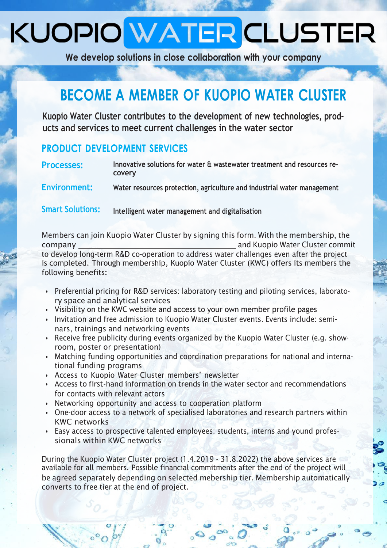# KUOPIO WATER CLUSTER

**We develop solutions in close collaboration with your company**

### **BECOME A MEMBER OF KUOPIO WATER CLUSTER**

**Kuopio Water Cluster contributes to the development of new technologies, products and services to meet current challenges in the water sector**

#### **PRODUCT DEVELOPMENT SERVICES**

| <b>Processes:</b>       | Innovative solutions for water & wastewater treatment and resources re-<br>covery |
|-------------------------|-----------------------------------------------------------------------------------|
| Environment:            | Water resources protection, agriculture and industrial water management           |
| <b>Smart Solutions:</b> | Intelligent water management and digitalisation                                   |

Members can join Kuopio Water Cluster by signing this form. With the membership, the company and Kuopio Water Cluster commit to develop long-term R&D co-operation to address water challenges even after the project is completed. Through membership, Kuopio Water Cluster (KWC) offers its members the following benefits:

- Preferential pricing for R&D services: laboratory testing and piloting services, laboratory space and analytical services
- Visibility on the KWC website and access to your own member profile pages
- Invitation and free admission to Kuopio Water Cluster events. Events include: seminars, trainings and networking events
- Receive free publicity during events organized by the Kuopio Water Cluster (e.g. showroom, poster or presentation)
- Matching funding opportunities and coordination preparations for national and international funding programs
- Access to Kuopio Water Cluster members' newsletter
- Access to first-hand information on trends in the water sector and recommendations for contacts with relevant actors
- Networking opportunity and access to cooperation platform
- One-door access to a network of specialised laboratories and research partners within KWC networks
- Easy access to prospective talented employees: students, interns and yound professionals within KWC networks

During the Kuopio Water Cluster project (1.4.2019 - 31.8.2022) the above services are available for all members. Possible financial commitments after the end of the project will be agreed separately depending on selected mebership tier. Membership automatically converts to free tier at the end of project.